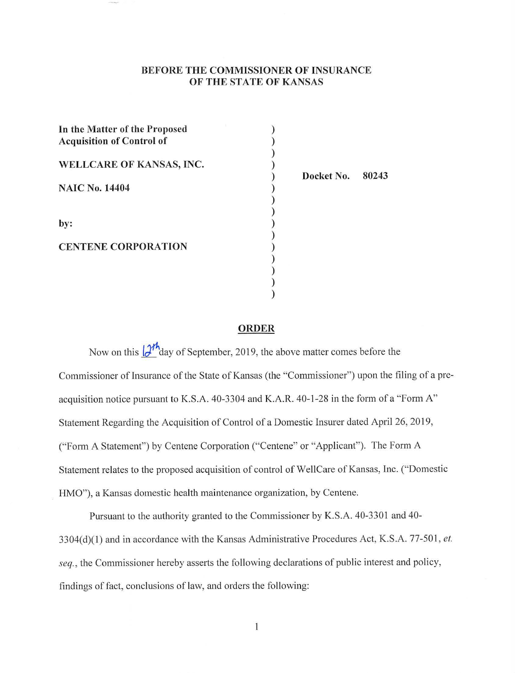## **BEFORE THE COMMISSIONER OF INSURANCE OF THE STATE OF KANSAS**

) ) ) ) ) ) ) ) ) ) ) ) ) ) )

| In the Matter of the Proposed<br><b>Acquisition of Control of</b> |  |
|-------------------------------------------------------------------|--|
| WELLCARE OF KANSAS, INC.                                          |  |
| <b>NAIC No. 14404</b>                                             |  |
| by:                                                               |  |
| <b>CENTENE CORPORATION</b>                                        |  |
|                                                                   |  |

**Docket No. 80243** 

#### **ORDER**

Now on this  $\left(\frac{\partial h}{\partial x}\right)$  day of September, 2019, the above matter comes before the Commissioner of Insurance of the State of Kansas (the "Commissioner") upon the filing of a preacquisition notice pursuant to K.S.A. 40-3304 and K.A.R. 40-1-28 in the form of a "Form A" Statement Regarding the Acquisition of Control of a Domestic Insurer dated April 26, 2019, ("Form A Statement") by Centene Corporation ("Centene" or "Applicant"). The Form A Statement relates to the proposed acquisition of control of WellCare of Kansas, Inc. ("Domestic HMO"), a Kansas domestic health maintenance organization, by Centene.

Pursuant to the authority granted to the Commissioner by K.S.A. 40-3301 and 40- 3304(d)(1) and in accordance with the Kansas Administrative Procedures Act, K.S.A. 77-501, et. *seq.,* the Commissioner hereby asserts the following declarations of public interest and policy, findings of fact, conclusions of law, and orders the following:

 $\mathbf{1}$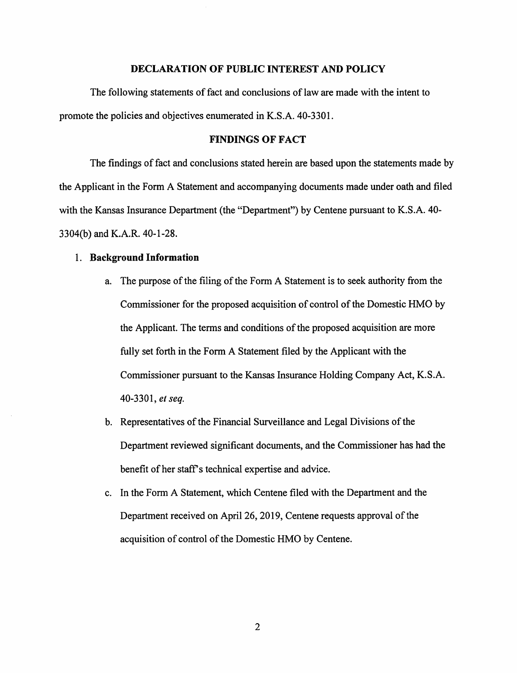### **DECLARATION OF PUBLIC INTEREST AND POLICY**

The following statements of fact and conclusions of law are made with the intent to promote the policies and objectives enumerated in K.S.A. 40-3301.

## **FINDINGS OF FACT**

The findings of fact and conclusions stated herein are based upon the statements made by the Applicant in the Form A Statement and accompanying documents made under oath and filed with the Kansas Insurance Department (the "Department") by Centene pursuant to K.S.A. 40- 3304(b) and K.A.R. 40-1-28.

#### 1. **Background Information**

- a. The purpose of the filing of the Form A Statement is to seek authority from the Commissioner for the proposed acquisition of control of the Domestic HMO by the Applicant. The terms and conditions of the proposed acquisition are more fully set forth in the Form A Statement filed by the Applicant with the Commissioner pursuant to the Kansas Insurance Holding Company Act, K.S.A. 40-3301, *et seq.*
- b. Representatives of the Financial Surveillance and Legal Divisions of the Department reviewed significant documents, and the Commissioner has had the benefit of her staff's technical expertise and advice.
- c. In the Form A Statement, which Centene filed with the Department and the Department received on April 26, 2019, Centene requests approval of the acquisition of control of the Domestic HMO by Centene.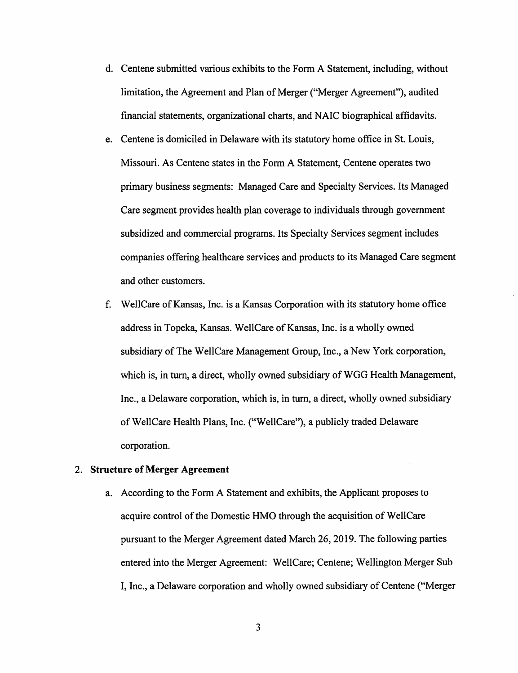- d. Centene submitted various exhibits to the Form A Statement, including, without limitation, the Agreement and Plan of Merger ("Merger Agreement"), audited financial statements, organizational charts, and NAIC biographical affidavits.
- e. Centene is domiciled in Delaware with its statutory home office in St. Louis, Missouri. As Centene states in the Form A Statement, Centene operates two primary business segments: Managed Care and Specialty Services. Its Managed Care segment provides health plan coverage to individuals through government subsidized and commercial programs. Its Specialty Services segment includes companies offering healthcare services and products to its Managed Care segment and other customers.
- f. WellCare of Kansas, Inc. is a Kansas Corporation with its statutory home office address in Topeka, Kansas. WellCare of Kansas, Inc. is a wholly owned subsidiary of The WellCare Management Group, Inc., a New York corporation, which is, in turn, a direct, wholly owned subsidiary of WGG Health Management, Inc., a Delaware corporation, which is, in turn, a direct, wholly owned subsidiary of WellCare Health Plans, Inc. ("WellCare"), a publicly traded Delaware corporation.

## 2. **Structure of Merger Agreement**

a. According to the Form A Statement and exhibits, the Applicant proposes to acquire control of the Domestic HMO through the acquisition of WellCare pursuant to the Merger Agreement dated March 26, 2019. The following parties entered into the Merger Agreement: WellCare; Centene; Wellington Merger Sub I, Inc., a Delaware corporation and wholly owned subsidiary of Centene ("Merger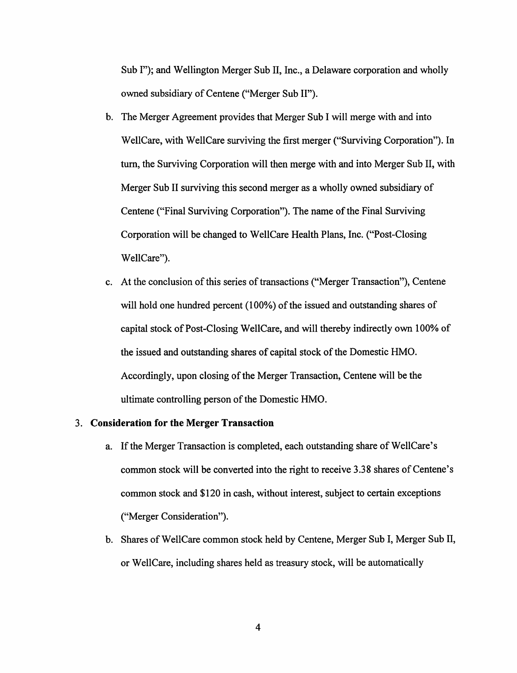Sub I"); and Wellington Merger Sub II, Inc., a Delaware corporation and wholly owned subsidiary of Centene ("Merger Sub 11").

- b. The Merger Agreement provides that Merger Sub I will merge with and into WellCare, with WellCare surviving the first merger ("Surviving Corporation"). In turn, the Surviving Corporation will then merge with and into Merger Sub II, with Merger Sub II surviving this second merger as a wholly owned subsidiary of Centene ("Final Surviving Corporation"). The name of the Final Surviving Corporation will be changed to WellCare Health Plans, Inc. ("Post-Closing WellCare").
- c. At the conclusion of this series of transactions ("Merger Transaction"), Centene will hold one hundred percent (100%) of the issued and outstanding shares of capital stock of Post-Closing WellCare, and will thereby indirectly own 100% of the issued and outstanding shares of capital stock of the Domestic HMO. Accordingly, upon closing of the Merger Transaction, Centene will be the ultimate controlling person of the Domestic HMO.

## 3. **Consideration for the Merger Transaction**

- a. If the Merger Transaction is completed, each outstanding share of WellCare's common stock will be converted into the right to receive 3.38 shares of Centene's common stock and \$120 in cash, without interest, subject to certain exceptions ("Merger Consideration").
- b. Shares of WellCare common stock held by Centene, Merger Sub I, Merger Sub II, or WellCare, including shares held as treasury stock, will be automatically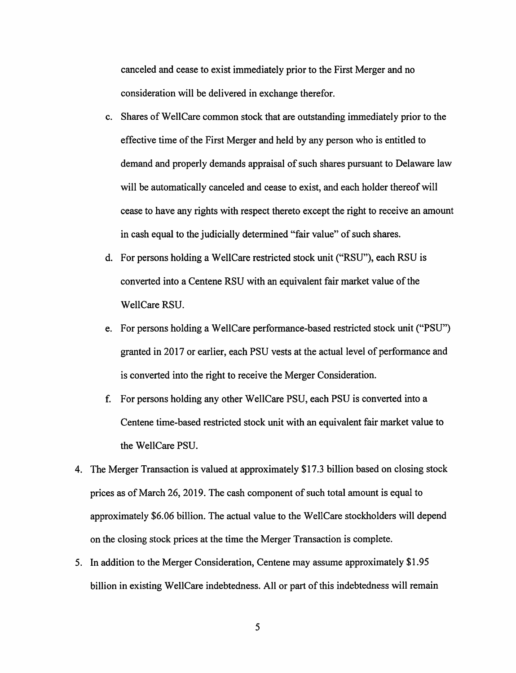canceled and cease to exist immediately prior to the First Merger and no consideration will be delivered in exchange therefor.

- c. Shares of WellCare common stock that are outstanding immediately prior to the effective time of the First Merger and held by any person who is entitled to demand and properly demands appraisal of such shares pursuant to Delaware law will be automatically canceled and cease to exist, and each holder thereof will cease to have any rights with respect thereto except the right to receive an amount in cash equal to the judicially determined "fair value" of such shares.
- d. For persons holding a WellCare restricted stock unit ("RSU"), each RSU is converted into a Centene RSU with an equivalent fair market value of the WellCare RSU.
- e. For persons holding a WellCare performance-based restricted stock unit ("PSU") granted in 2017 or earlier, each PSU vests at the actual level of performance and is converted into the right to receive the Merger Consideration.
- f. For persons holding any other WellCare PSU, each PSU is converted into a Centene time-based restricted stock unit with an equivalent fair market value to the WellCare PSU.
- 4. The Merger Transaction is valued at approximately \$17 .3 billion based on closing stock prices as of March 26, 2019. The cash component of such total amount is equal to approximately \$6.06 billion. The actual value to the WellCare stockholders will depend on the closing stock prices at the time the Merger Transaction is complete.
- 5. In addition to the Merger Consideration, Centene may assume approximately \$1.95 billion in existing WellCare indebtedness. All or part of this indebtedness will remain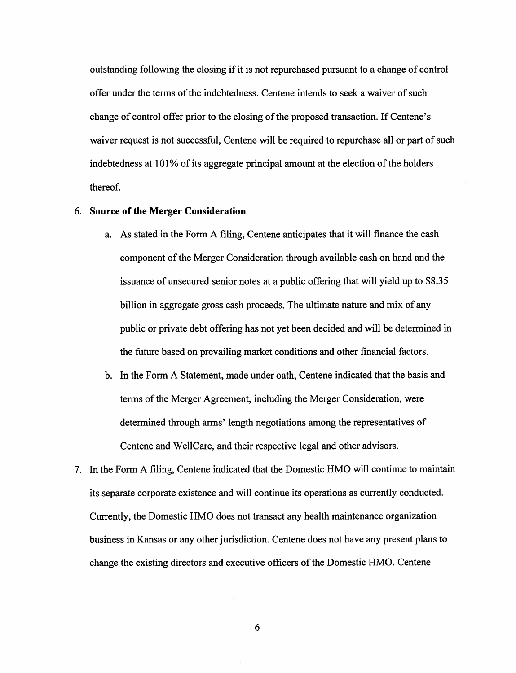outstanding following the closing if it is not repurchased pursuant to a change of control offer under the terms of the indebtedness. Centene intends to seek a waiver of such change of control offer prior to the closing of the proposed transaction. If Centene's waiver request is not successful, Centene will be required to repurchase all or part of such indebtedness at 101% of its aggregate principal amount at the election of the holders thereof.

#### 6. **Source of the Merger Consideration**

- a. As stated in the Form A filing, Centene anticipates that it will finance the cash component of the Merger Consideration through available cash on hand and the issuance of unsecured senior notes at a public offering that will yield up to \$8.35 billion in aggregate gross cash proceeds. The ultimate nature and mix of any public or private debt offering has not yet been decided and will be determined in the future based on prevailing market conditions and other financial factors.
- b. In the Form A Statement, made under oath, Centene indicated that the basis and terms of the Merger Agreement, including the Merger Consideration, were determined through arms' length negotiations among the representatives of Centene and WellCare, and their respective legal and other advisors.
- 7. In the Form A filing, Centene indicated that the Domestic HMO will continue to maintain its separate corporate existence and will continue its operations as currently conducted. Currently, the Domestic HMO does not transact any health maintenance organization business in Kansas or any other jurisdiction. Centene does not have any present plans to change the existing directors and executive officers of the Domestic HMO. Centene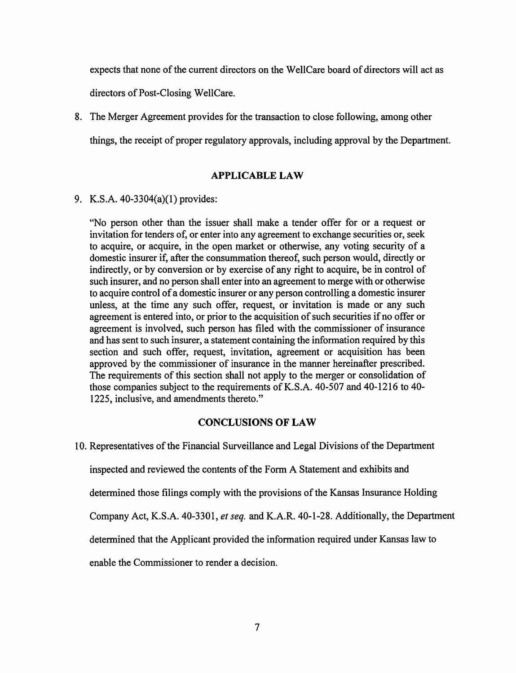expects that none of the current directors on the WellCare board of directors will act as directors of Post-Closing WellCare.

8. The Merger Agreement provides for the transaction to close following, among other things, the receipt of proper regulatory approvals, including approval by the Department.

## **APPLICABLE LAW**

9. K.S.A. 40-3304(a)(l) provides:

"No person other than the issuer shall make a tender offer for or a request or invitation for tenders of, or enter into any agreement to exchange securities or, seek to acquire, or acquire, in the open market or otherwise, any voting security of a domestic insurer if, after the consummation thereof, such person would, directly or indirectly, or by conversion or by exercise of any right to acquire, be in control of such insurer, and no person shall enter into an agreement to merge with or otherwise to acquire control of a domestic insurer or any person controlling a domestic insurer unless, at the time any such offer, request, or invitation is made or any such agreement is entered into, or prior to the acquisition of such securities if no offer or agreement is involved, such person has filed with the commissioner of insurance and has sent to such insurer, a statement containing the information required by this section and such offer, request, invitation, agreement or acquisition has been approved by the commissioner of insurance in the manner hereinafter prescribed. The requirements of this section shall not apply to the merger or consolidation of those companies subject to the requirements of K.S.A. 40-507 and 40-1216 to 40- 1225, inclusive, and amendments thereto."

### **CONCLUSIONS OF LAW**

10. Representatives of the Financial Surveillance and Legal Divisions of the Department

inspected and reviewed the contents of the Form A Statement and exhibits and

determined those filings comply with the provisions of the Kansas Insurance Holding

Company Act, K.S.A. 40-3301, *et seq.* and K.A.R. 40-1-28. Additionally, the Department

determined that the Applicant provided the information required under Kansas law to

enable the Commissioner to render a decision.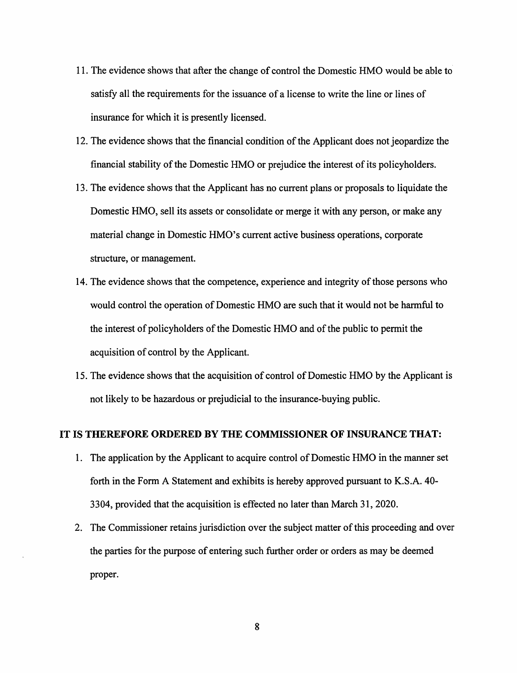- 11. The evidence shows that after the change of control the Domestic HMO would be able to satisfy all the requirements for the issuance of a license to write the line or lines of insurance for which it is presently licensed.
- 12. The evidence shows that the financial condition of the Applicant does not jeopardize the financial stability of the Domestic HMO or prejudice the interest of its policyholders.
- 13. The evidence shows that the Applicant has no current plans or proposals to liquidate the Domestic HMO, sell its assets or consolidate or merge it with any person, or make any material change in Domestic HMO's current active business operations, corporate structure, or management.
- 14. The evidence shows that the competence, experience and integrity of those persons who would control the operation of Domestic HMO are such that it would not be harmful to the interest of policyholders of the Domestic HMO and of the public to permit the acquisition of control by the Applicant.
- 15. The evidence shows that the acquisition of control of Domestic HMO by the Applicant is not likely to be hazardous or prejudicial to the insurance-buying public.

#### **IT IS THEREFORE ORDERED BY THE COMMISSIONER OF INSURANCE THAT:**

- 1. The application by the Applicant to acquire control of Domestic HMO in the manner set forth in the Form A Statement and exhibits is hereby approved pursuant to K.S.A. 40- 3304, provided that the acquisition is effected no later than March 31, 2020.
- 2. The Commissioner retains jurisdiction over the subject matter of this proceeding and over the parties for the purpose of entering such further order or orders as may be deemed proper.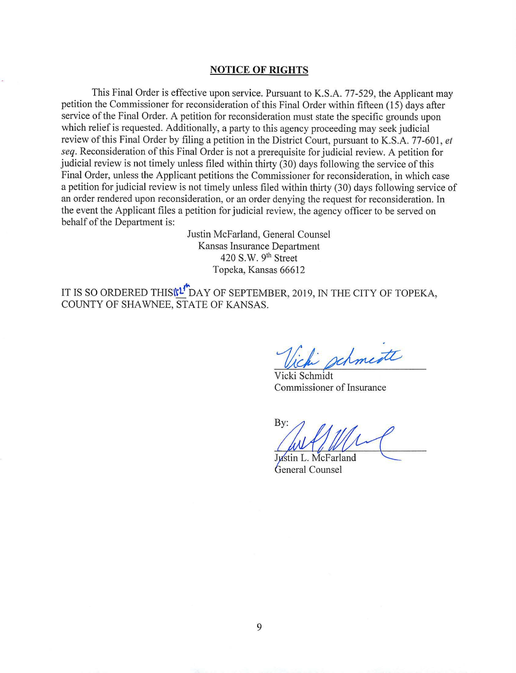#### **NOTICE OF RIGHTS**

This Final Order is effective upon service. Pursuant to K.S.A. 77-529, the Applicant may petition the Commissioner for reconsideration of this Final Order within fifteen ( 15) days after service of the Final Order. A petition for reconsideration must state the specific grounds upon which relief is requested. Additionally, a party to this agency proceeding may seek judicial review of this Final Order by filing a petition in the District Court, pursuant to K.S.A. 77-601 , *et seq.* Reconsideration of this Final Order is not a prerequisite for judicial review. A petition for judicial review is not timely unless filed within thirty (30) days following the service of this Final Order, unless the Applicant petitions the Commissioner for reconsideration, in which case a petition for judicial review is not timely unless filed within thirty (30) days following service of an order rendered upon reconsideration, or an order denying the request for reconsideration. In the event the Applicant files a petition for judicial review, the agency officer to be served on behalf of the Department is:

> Justin McFarland, General Counsel Kansas Insurance Department 420 S.W. 9<sup>th</sup> Street Topeka, Kansas 66612

IT IS SO ORDERED THIS TULL DAY OF SEPTEMBER, 2019, IN THE CITY OF TOPEKA, COUNTY OF SHAWNEE, STATE OF KANSAS.

schmente

Vicki Schmidt Commissioner of Insurance

By:

Justin L. McFarland General Counsel